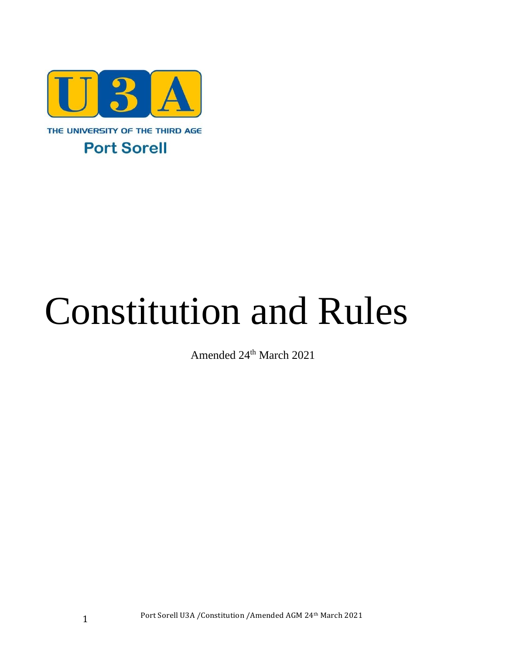

# Constitution and Rules

Amended 24<sup>th</sup> March 2021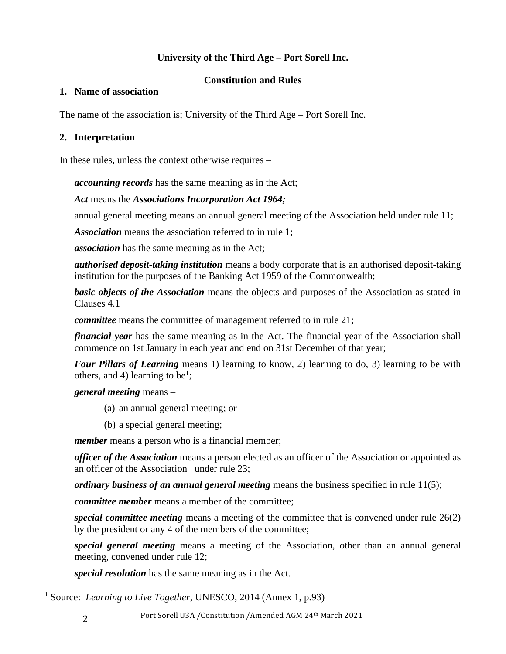# **University of the Third Age – Port Sorell Inc.**

# **Constitution and Rules**

## **1. Name of association**

The name of the association is; University of the Third Age – Port Sorell Inc.

# **2. Interpretation**

In these rules, unless the context otherwise requires –

*accounting records* has the same meaning as in the Act;

# *Act* means the *Associations Incorporation Act 1964;*

annual general meeting means an annual general meeting of the Association held under rule 11;

*Association* means the association referred to in rule 1;

*association* has the same meaning as in the Act;

*authorised deposit-taking institution* means a body corporate that is an authorised deposit-taking institution for the purposes of the Banking Act 1959 of the Commonwealth;

*basic objects of the Association* means the objects and purposes of the Association as stated in Clauses 4.1

*committee* means the committee of management referred to in rule 21;

*financial year* has the same meaning as in the Act. The financial year of the Association shall commence on 1st January in each year and end on 31st December of that year;

*Four Pillars of Learning* means 1) learning to know, 2) learning to do, 3) learning to be with others, and 4) learning to be<sup>1</sup>;

*general meeting* means –

- (a) an annual general meeting; or
- (b) a special general meeting;

*member* means a person who is a financial member;

*officer of the Association* means a person elected as an officer of the Association or appointed as an officer of the Association under rule 23;

*ordinary business of an annual general meeting* means the business specified in rule 11(5);

*committee member* means a member of the committee;

*special committee meeting* means a meeting of the committee that is convened under rule 26(2) by the president or any 4 of the members of the committee;

*special general meeting* means a meeting of the Association, other than an annual general meeting, convened under rule 12;

*special resolution* has the same meaning as in the Act.

<sup>1</sup> Source: *Learning to Live Together*, UNESCO, 2014 (Annex 1, p.93)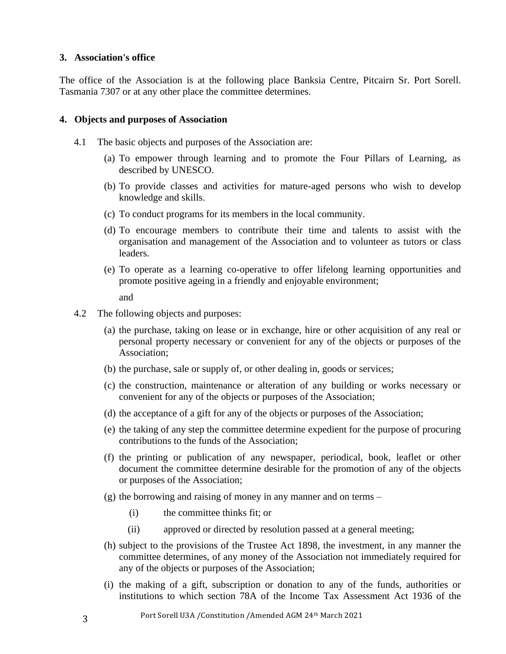#### **3. Association's office**

The office of the Association is at the following place Banksia Centre, Pitcairn Sr. Port Sorell. Tasmania 7307 or at any other place the committee determines.

#### **4. Objects and purposes of Association**

- 4.1 The basic objects and purposes of the Association are:
	- (a) To empower through learning and to promote the Four Pillars of Learning, as described by UNESCO.
	- (b) To provide classes and activities for mature-aged persons who wish to develop knowledge and skills.
	- (c) To conduct programs for its members in the local community.
	- (d) To encourage members to contribute their time and talents to assist with the organisation and management of the Association and to volunteer as tutors or class leaders.
	- (e) To operate as a learning co-operative to offer lifelong learning opportunities and promote positive ageing in a friendly and enjoyable environment;

and

- 4.2 The following objects and purposes:
	- (a) the purchase, taking on lease or in exchange, hire or other acquisition of any real or personal property necessary or convenient for any of the objects or purposes of the Association;
	- (b) the purchase, sale or supply of, or other dealing in, goods or services;
	- (c) the construction, maintenance or alteration of any building or works necessary or convenient for any of the objects or purposes of the Association;
	- (d) the acceptance of a gift for any of the objects or purposes of the Association;
	- (e) the taking of any step the committee determine expedient for the purpose of procuring contributions to the funds of the Association;
	- (f) the printing or publication of any newspaper, periodical, book, leaflet or other document the committee determine desirable for the promotion of any of the objects or purposes of the Association;
	- (g) the borrowing and raising of money in any manner and on terms
		- (i) the committee thinks fit; or
		- (ii) approved or directed by resolution passed at a general meeting;
	- (h) subject to the provisions of the Trustee Act 1898, the investment, in any manner the committee determines, of any money of the Association not immediately required for any of the objects or purposes of the Association;
	- (i) the making of a gift, subscription or donation to any of the funds, authorities or institutions to which section 78A of the Income Tax Assessment Act 1936 of the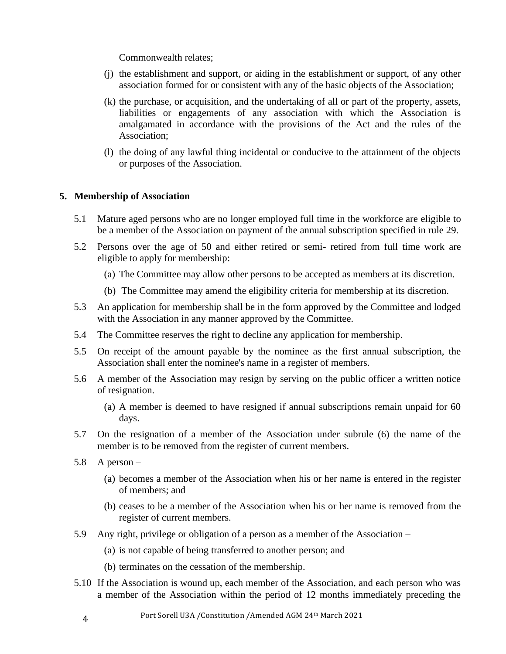Commonwealth relates;

- (j) the establishment and support, or aiding in the establishment or support, of any other association formed for or consistent with any of the basic objects of the Association;
- (k) the purchase, or acquisition, and the undertaking of all or part of the property, assets, liabilities or engagements of any association with which the Association is amalgamated in accordance with the provisions of the Act and the rules of the Association;
- (l) the doing of any lawful thing incidental or conducive to the attainment of the objects or purposes of the Association.

#### **5. Membership of Association**

- 5.1 Mature aged persons who are no longer employed full time in the workforce are eligible to be a member of the Association on payment of the annual subscription specified in rule 29.
- 5.2 Persons over the age of 50 and either retired or semi- retired from full time work are eligible to apply for membership:
	- (a) The Committee may allow other persons to be accepted as members at its discretion.
	- (b) The Committee may amend the eligibility criteria for membership at its discretion.
- 5.3 An application for membership shall be in the form approved by the Committee and lodged with the Association in any manner approved by the Committee.
- 5.4 The Committee reserves the right to decline any application for membership.
- 5.5 On receipt of the amount payable by the nominee as the first annual subscription, the Association shall enter the nominee's name in a register of members.
- 5.6 A member of the Association may resign by serving on the public officer a written notice of resignation.
	- (a) A member is deemed to have resigned if annual subscriptions remain unpaid for 60 days.
- 5.7 On the resignation of a member of the Association under subrule (6) the name of the member is to be removed from the register of current members.
- 5.8 A person
	- (a) becomes a member of the Association when his or her name is entered in the register of members; and
	- (b) ceases to be a member of the Association when his or her name is removed from the register of current members.
- 5.9 Any right, privilege or obligation of a person as a member of the Association
	- (a) is not capable of being transferred to another person; and
	- (b) terminates on the cessation of the membership.
- 5.10 If the Association is wound up, each member of the Association, and each person who was a member of the Association within the period of 12 months immediately preceding the

4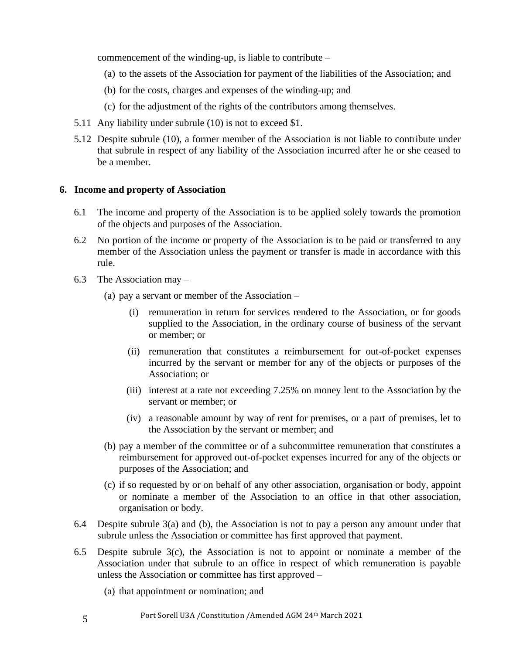commencement of the winding-up, is liable to contribute –

- (a) to the assets of the Association for payment of the liabilities of the Association; and
- (b) for the costs, charges and expenses of the winding-up; and
- (c) for the adjustment of the rights of the contributors among themselves.
- 5.11 Any liability under subrule (10) is not to exceed \$1.
- 5.12 Despite subrule (10), a former member of the Association is not liable to contribute under that subrule in respect of any liability of the Association incurred after he or she ceased to be a member.

## **6. Income and property of Association**

- 6.1 The income and property of the Association is to be applied solely towards the promotion of the objects and purposes of the Association.
- 6.2 No portion of the income or property of the Association is to be paid or transferred to any member of the Association unless the payment or transfer is made in accordance with this rule.
- 6.3 The Association may
	- (a) pay a servant or member of the Association
		- (i) remuneration in return for services rendered to the Association, or for goods supplied to the Association, in the ordinary course of business of the servant or member; or
		- (ii) remuneration that constitutes a reimbursement for out-of-pocket expenses incurred by the servant or member for any of the objects or purposes of the Association; or
		- (iii) interest at a rate not exceeding 7.25% on money lent to the Association by the servant or member; or
		- (iv) a reasonable amount by way of rent for premises, or a part of premises, let to the Association by the servant or member; and
	- (b) pay a member of the committee or of a subcommittee remuneration that constitutes a reimbursement for approved out-of-pocket expenses incurred for any of the objects or purposes of the Association; and
	- (c) if so requested by or on behalf of any other association, organisation or body, appoint or nominate a member of the Association to an office in that other association, organisation or body.
- 6.4 Despite subrule 3(a) and (b), the Association is not to pay a person any amount under that subrule unless the Association or committee has first approved that payment.
- 6.5 Despite subrule 3(c), the Association is not to appoint or nominate a member of the Association under that subrule to an office in respect of which remuneration is payable unless the Association or committee has first approved –
	- (a) that appointment or nomination; and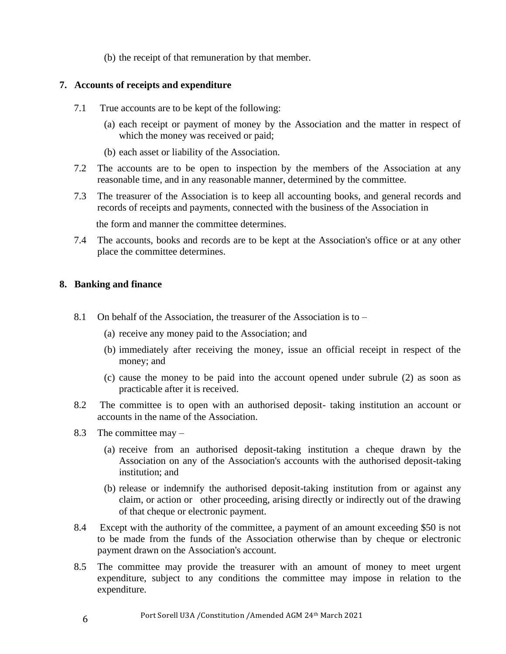(b) the receipt of that remuneration by that member.

#### **7. Accounts of receipts and expenditure**

- 7.1 True accounts are to be kept of the following:
	- (a) each receipt or payment of money by the Association and the matter in respect of which the money was received or paid;
	- (b) each asset or liability of the Association.
- 7.2 The accounts are to be open to inspection by the members of the Association at any reasonable time, and in any reasonable manner, determined by the committee.
- 7.3 The treasurer of the Association is to keep all accounting books, and general records and records of receipts and payments, connected with the business of the Association in

the form and manner the committee determines.

7.4 The accounts, books and records are to be kept at the Association's office or at any other place the committee determines.

#### **8. Banking and finance**

- 8.1 On behalf of the Association, the treasurer of the Association is to  $-$ 
	- (a) receive any money paid to the Association; and
	- (b) immediately after receiving the money, issue an official receipt in respect of the money; and
	- (c) cause the money to be paid into the account opened under subrule (2) as soon as practicable after it is received.
- 8.2 The committee is to open with an authorised deposit- taking institution an account or accounts in the name of the Association.
- 8.3 The committee may
	- (a) receive from an authorised deposit-taking institution a cheque drawn by the Association on any of the Association's accounts with the authorised deposit-taking institution; and
	- (b) release or indemnify the authorised deposit-taking institution from or against any claim, or action or other proceeding, arising directly or indirectly out of the drawing of that cheque or electronic payment.
- 8.4 Except with the authority of the committee, a payment of an amount exceeding \$50 is not to be made from the funds of the Association otherwise than by cheque or electronic payment drawn on the Association's account.
- 8.5 The committee may provide the treasurer with an amount of money to meet urgent expenditure, subject to any conditions the committee may impose in relation to the expenditure.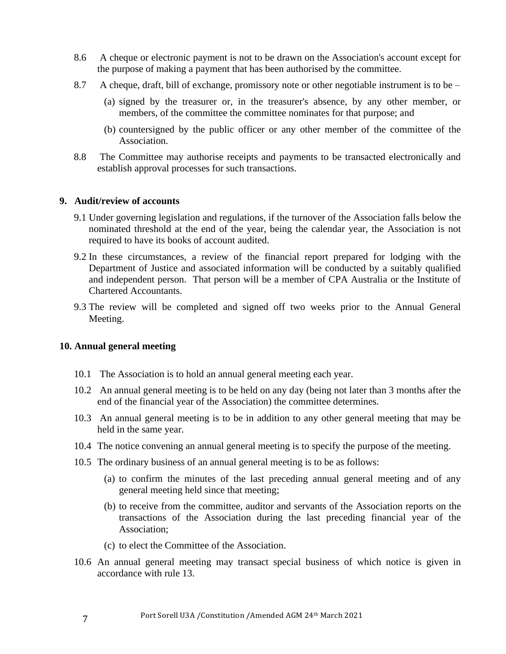- 8.6 A cheque or electronic payment is not to be drawn on the Association's account except for the purpose of making a payment that has been authorised by the committee.
- 8.7 A cheque, draft, bill of exchange, promissory note or other negotiable instrument is to be
	- (a) signed by the treasurer or, in the treasurer's absence, by any other member, or members, of the committee the committee nominates for that purpose; and
	- (b) countersigned by the public officer or any other member of the committee of the Association.
- 8.8 The Committee may authorise receipts and payments to be transacted electronically and establish approval processes for such transactions.

#### **9. Audit/review of accounts**

- 9.1 Under governing legislation and regulations, if the turnover of the Association falls below the nominated threshold at the end of the year, being the calendar year, the Association is not required to have its books of account audited.
- 9.2 In these circumstances, a review of the financial report prepared for lodging with the Department of Justice and associated information will be conducted by a suitably qualified and independent person. That person will be a member of CPA Australia or the Institute of Chartered Accountants.
- 9.3 The review will be completed and signed off two weeks prior to the Annual General Meeting.

#### **10. Annual general meeting**

- 10.1 The Association is to hold an annual general meeting each year.
- 10.2 An annual general meeting is to be held on any day (being not later than 3 months after the end of the financial year of the Association) the committee determines.
- 10.3 An annual general meeting is to be in addition to any other general meeting that may be held in the same year.
- 10.4 The notice convening an annual general meeting is to specify the purpose of the meeting.
- 10.5 The ordinary business of an annual general meeting is to be as follows:
	- (a) to confirm the minutes of the last preceding annual general meeting and of any general meeting held since that meeting;
	- (b) to receive from the committee, auditor and servants of the Association reports on the transactions of the Association during the last preceding financial year of the Association;
	- (c) to elect the Committee of the Association.
- 10.6 An annual general meeting may transact special business of which notice is given in accordance with rule 13.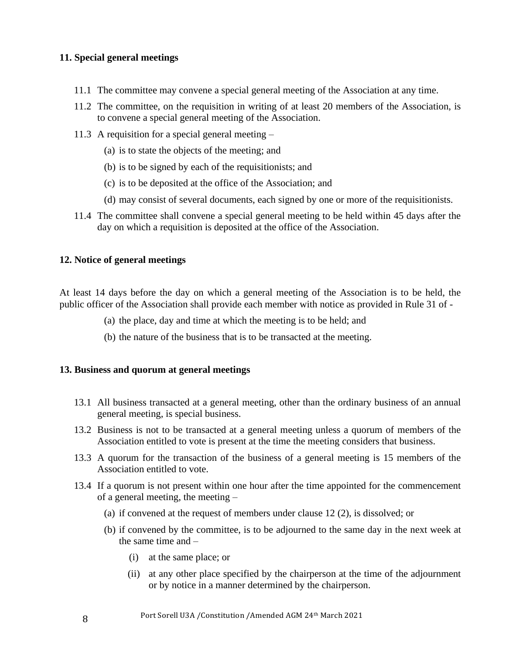## **11. Special general meetings**

- 11.1 The committee may convene a special general meeting of the Association at any time.
- 11.2 The committee, on the requisition in writing of at least 20 members of the Association, is to convene a special general meeting of the Association.
- 11.3 A requisition for a special general meeting
	- (a) is to state the objects of the meeting; and
	- (b) is to be signed by each of the requisitionists; and
	- (c) is to be deposited at the office of the Association; and
	- (d) may consist of several documents, each signed by one or more of the requisitionists.
- 11.4 The committee shall convene a special general meeting to be held within 45 days after the day on which a requisition is deposited at the office of the Association.

#### **12. Notice of general meetings**

At least 14 days before the day on which a general meeting of the Association is to be held, the public officer of the Association shall provide each member with notice as provided in Rule 31 of -

- (a) the place, day and time at which the meeting is to be held; and
- (b) the nature of the business that is to be transacted at the meeting.

#### **13. Business and quorum at general meetings**

- 13.1 All business transacted at a general meeting, other than the ordinary business of an annual general meeting, is special business.
- 13.2 Business is not to be transacted at a general meeting unless a quorum of members of the Association entitled to vote is present at the time the meeting considers that business.
- 13.3 A quorum for the transaction of the business of a general meeting is 15 members of the Association entitled to vote.
- 13.4 If a quorum is not present within one hour after the time appointed for the commencement of a general meeting, the meeting –
	- (a) if convened at the request of members under clause 12 (2), is dissolved; or
	- (b) if convened by the committee, is to be adjourned to the same day in the next week at the same time and –
		- (i) at the same place; or
		- (ii) at any other place specified by the chairperson at the time of the adjournment or by notice in a manner determined by the chairperson.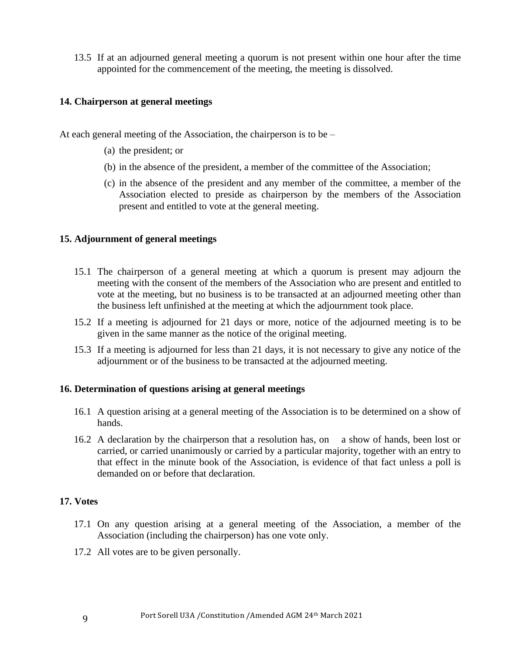13.5 If at an adjourned general meeting a quorum is not present within one hour after the time appointed for the commencement of the meeting, the meeting is dissolved.

## **14. Chairperson at general meetings**

At each general meeting of the Association, the chairperson is to be –

- (a) the president; or
- (b) in the absence of the president, a member of the committee of the Association;
- (c) in the absence of the president and any member of the committee, a member of the Association elected to preside as chairperson by the members of the Association present and entitled to vote at the general meeting.

#### **15. Adjournment of general meetings**

- 15.1 The chairperson of a general meeting at which a quorum is present may adjourn the meeting with the consent of the members of the Association who are present and entitled to vote at the meeting, but no business is to be transacted at an adjourned meeting other than the business left unfinished at the meeting at which the adjournment took place.
- 15.2 If a meeting is adjourned for 21 days or more, notice of the adjourned meeting is to be given in the same manner as the notice of the original meeting.
- 15.3 If a meeting is adjourned for less than 21 days, it is not necessary to give any notice of the adjournment or of the business to be transacted at the adjourned meeting.

#### **16. Determination of questions arising at general meetings**

- 16.1 A question arising at a general meeting of the Association is to be determined on a show of hands.
- 16.2 A declaration by the chairperson that a resolution has, on a show of hands, been lost or carried, or carried unanimously or carried by a particular majority, together with an entry to that effect in the minute book of the Association, is evidence of that fact unless a poll is demanded on or before that declaration.

## **17. Votes**

- 17.1 On any question arising at a general meeting of the Association, a member of the Association (including the chairperson) has one vote only.
- 17.2 All votes are to be given personally.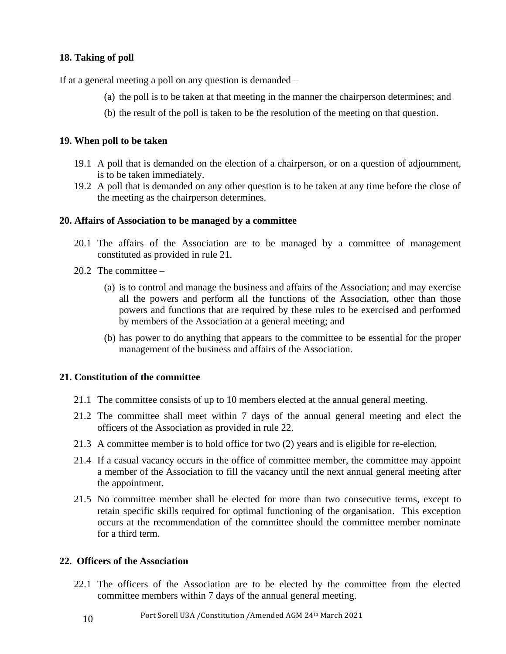## **18. Taking of poll**

If at a general meeting a poll on any question is demanded –

- (a) the poll is to be taken at that meeting in the manner the chairperson determines; and
- (b) the result of the poll is taken to be the resolution of the meeting on that question.

#### **19. When poll to be taken**

- 19.1 A poll that is demanded on the election of a chairperson, or on a question of adjournment, is to be taken immediately.
- 19.2 A poll that is demanded on any other question is to be taken at any time before the close of the meeting as the chairperson determines.

#### **20. Affairs of Association to be managed by a committee**

- 20.1 The affairs of the Association are to be managed by a committee of management constituted as provided in rule 21.
- 20.2 The committee
	- (a) is to control and manage the business and affairs of the Association; and may exercise all the powers and perform all the functions of the Association, other than those powers and functions that are required by these rules to be exercised and performed by members of the Association at a general meeting; and
	- (b) has power to do anything that appears to the committee to be essential for the proper management of the business and affairs of the Association.

#### **21. Constitution of the committee**

- 21.1 The committee consists of up to 10 members elected at the annual general meeting.
- 21.2 The committee shall meet within 7 days of the annual general meeting and elect the officers of the Association as provided in rule 22.
- 21.3 A committee member is to hold office for two (2) years and is eligible for re-election.
- 21.4 If a casual vacancy occurs in the office of committee member, the committee may appoint a member of the Association to fill the vacancy until the next annual general meeting after the appointment.
- 21.5 No committee member shall be elected for more than two consecutive terms, except to retain specific skills required for optimal functioning of the organisation. This exception occurs at the recommendation of the committee should the committee member nominate for a third term.

# **22. Officers of the Association**

- 22.1 The officers of the Association are to be elected by the committee from the elected committee members within 7 days of the annual general meeting.
	- 10 Port Sorell U3A /Constitution /Amended AGM 24th March 2021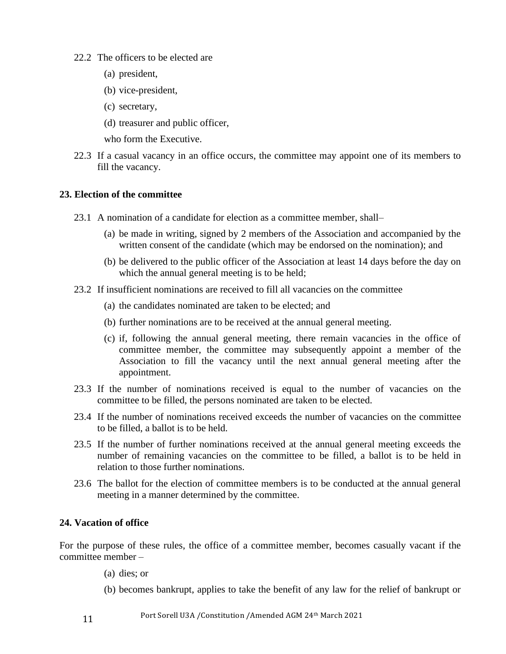- 22.2 The officers to be elected are
	- (a) president,
	- (b) vice-president,
	- (c) secretary,
	- (d) treasurer and public officer,
	- who form the Executive.
- 22.3 If a casual vacancy in an office occurs, the committee may appoint one of its members to fill the vacancy.

#### **23. Election of the committee**

- 23.1 A nomination of a candidate for election as a committee member, shall–
	- (a) be made in writing, signed by 2 members of the Association and accompanied by the written consent of the candidate (which may be endorsed on the nomination); and
	- (b) be delivered to the public officer of the Association at least 14 days before the day on which the annual general meeting is to be held;
- 23.2 If insufficient nominations are received to fill all vacancies on the committee
	- (a) the candidates nominated are taken to be elected; and
	- (b) further nominations are to be received at the annual general meeting.
	- (c) if, following the annual general meeting, there remain vacancies in the office of committee member, the committee may subsequently appoint a member of the Association to fill the vacancy until the next annual general meeting after the appointment.
- 23.3 If the number of nominations received is equal to the number of vacancies on the committee to be filled, the persons nominated are taken to be elected.
- 23.4 If the number of nominations received exceeds the number of vacancies on the committee to be filled, a ballot is to be held.
- 23.5 If the number of further nominations received at the annual general meeting exceeds the number of remaining vacancies on the committee to be filled, a ballot is to be held in relation to those further nominations.
- 23.6 The ballot for the election of committee members is to be conducted at the annual general meeting in a manner determined by the committee.

## **24. Vacation of office**

For the purpose of these rules, the office of a committee member, becomes casually vacant if the committee member –

- (a) dies; or
- (b) becomes bankrupt, applies to take the benefit of any law for the relief of bankrupt or
- 11 Port Sorell U3A /Constitution /Amended AGM 24th March 2021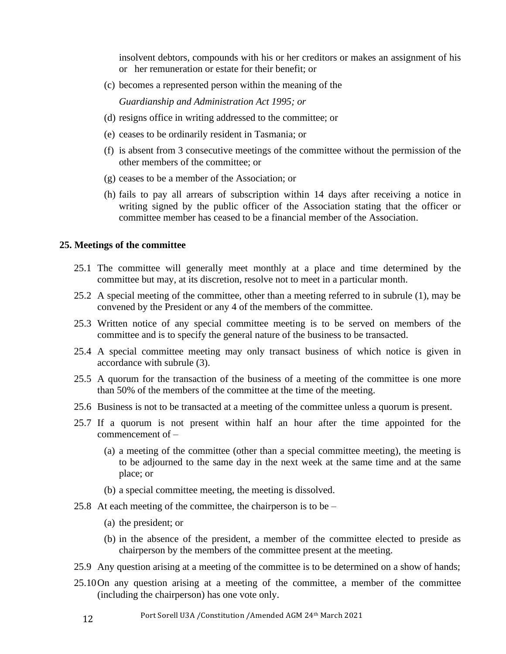insolvent debtors, compounds with his or her creditors or makes an assignment of his or her remuneration or estate for their benefit; or

(c) becomes a represented person within the meaning of the

*Guardianship and Administration Act 1995; or*

- (d) resigns office in writing addressed to the committee; or
- (e) ceases to be ordinarily resident in Tasmania; or
- (f) is absent from 3 consecutive meetings of the committee without the permission of the other members of the committee; or
- (g) ceases to be a member of the Association; or
- (h) fails to pay all arrears of subscription within 14 days after receiving a notice in writing signed by the public officer of the Association stating that the officer or committee member has ceased to be a financial member of the Association.

## **25. Meetings of the committee**

- 25.1 The committee will generally meet monthly at a place and time determined by the committee but may, at its discretion, resolve not to meet in a particular month.
- 25.2 A special meeting of the committee, other than a meeting referred to in subrule (1), may be convened by the President or any 4 of the members of the committee.
- 25.3 Written notice of any special committee meeting is to be served on members of the committee and is to specify the general nature of the business to be transacted.
- 25.4 A special committee meeting may only transact business of which notice is given in accordance with subrule (3).
- 25.5 A quorum for the transaction of the business of a meeting of the committee is one more than 50% of the members of the committee at the time of the meeting.
- 25.6 Business is not to be transacted at a meeting of the committee unless a quorum is present.
- 25.7 If a quorum is not present within half an hour after the time appointed for the commencement of –
	- (a) a meeting of the committee (other than a special committee meeting), the meeting is to be adjourned to the same day in the next week at the same time and at the same place; or
	- (b) a special committee meeting, the meeting is dissolved.
- 25.8 At each meeting of the committee, the chairperson is to be
	- (a) the president; or
	- (b) in the absence of the president, a member of the committee elected to preside as chairperson by the members of the committee present at the meeting.
- 25.9 Any question arising at a meeting of the committee is to be determined on a show of hands;
- 25.10On any question arising at a meeting of the committee, a member of the committee (including the chairperson) has one vote only.
	- 12 Port Sorell U3A /Constitution /Amended AGM 24th March 2021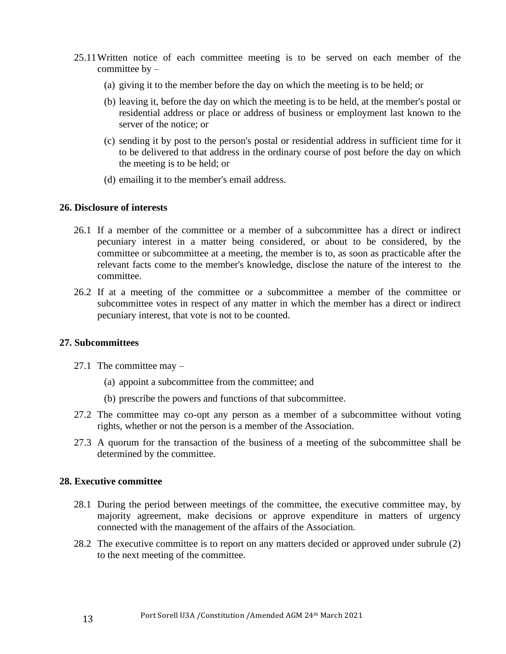- 25.11Written notice of each committee meeting is to be served on each member of the committee  $by -$ 
	- (a) giving it to the member before the day on which the meeting is to be held; or
	- (b) leaving it, before the day on which the meeting is to be held, at the member's postal or residential address or place or address of business or employment last known to the server of the notice; or
	- (c) sending it by post to the person's postal or residential address in sufficient time for it to be delivered to that address in the ordinary course of post before the day on which the meeting is to be held; or
	- (d) emailing it to the member's email address.

#### **26. Disclosure of interests**

- 26.1 If a member of the committee or a member of a subcommittee has a direct or indirect pecuniary interest in a matter being considered, or about to be considered, by the committee or subcommittee at a meeting, the member is to, as soon as practicable after the relevant facts come to the member's knowledge, disclose the nature of the interest to the committee.
- 26.2 If at a meeting of the committee or a subcommittee a member of the committee or subcommittee votes in respect of any matter in which the member has a direct or indirect pecuniary interest, that vote is not to be counted.

#### **27. Subcommittees**

- 27.1 The committee may
	- (a) appoint a subcommittee from the committee; and
	- (b) prescribe the powers and functions of that subcommittee.
- 27.2 The committee may co-opt any person as a member of a subcommittee without voting rights, whether or not the person is a member of the Association.
- 27.3 A quorum for the transaction of the business of a meeting of the subcommittee shall be determined by the committee.

#### **28. Executive committee**

- 28.1 During the period between meetings of the committee, the executive committee may, by majority agreement, make decisions or approve expenditure in matters of urgency connected with the management of the affairs of the Association.
- 28.2 The executive committee is to report on any matters decided or approved under subrule (2) to the next meeting of the committee.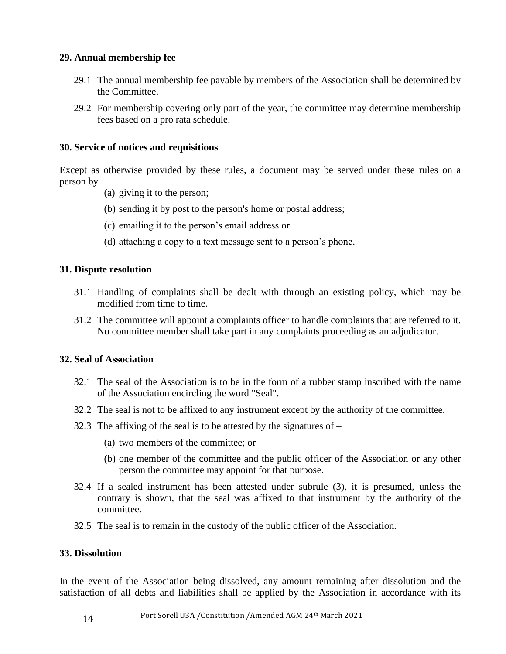## **29. Annual membership fee**

- 29.1 The annual membership fee payable by members of the Association shall be determined by the Committee.
- 29.2 For membership covering only part of the year, the committee may determine membership fees based on a pro rata schedule.

## **30. Service of notices and requisitions**

Except as otherwise provided by these rules, a document may be served under these rules on a person by –

- (a) giving it to the person;
- (b) sending it by post to the person's home or postal address;
- (c) emailing it to the person's email address or
- (d) attaching a copy to a text message sent to a person's phone.

## **31. Dispute resolution**

- 31.1 Handling of complaints shall be dealt with through an existing policy, which may be modified from time to time.
- 31.2 The committee will appoint a complaints officer to handle complaints that are referred to it. No committee member shall take part in any complaints proceeding as an adjudicator.

## **32. Seal of Association**

- 32.1 The seal of the Association is to be in the form of a rubber stamp inscribed with the name of the Association encircling the word "Seal".
- 32.2 The seal is not to be affixed to any instrument except by the authority of the committee.
- 32.3 The affixing of the seal is to be attested by the signatures of  $-$ 
	- (a) two members of the committee; or
	- (b) one member of the committee and the public officer of the Association or any other person the committee may appoint for that purpose.
- 32.4 If a sealed instrument has been attested under subrule (3), it is presumed, unless the contrary is shown, that the seal was affixed to that instrument by the authority of the committee.
- 32.5 The seal is to remain in the custody of the public officer of the Association.

#### **33. Dissolution**

In the event of the Association being dissolved, any amount remaining after dissolution and the satisfaction of all debts and liabilities shall be applied by the Association in accordance with its

14 Port Sorell U3A /Constitution /Amended AGM 24th March 2021